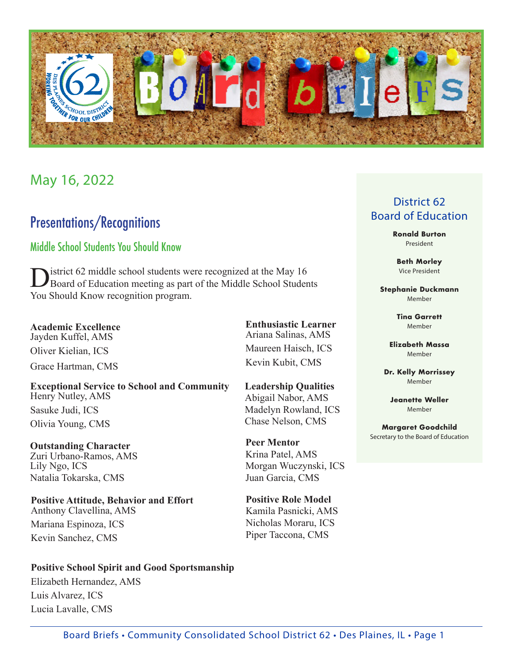

## May 16, 2022

## Presentations/Recognitions

### Middle School Students You Should Know

District 62 middle school students were recognized at the May 16<br>Board of Education meeting as part of the Middle School Students You Should Know recognition program.

**Academic Excellence** Jayden Kuffel, AMS Oliver Kielian, ICS Grace Hartman, CMS

**Exceptional Service to School and Community** Henry Nutley, AMS Sasuke Judi, ICS Olivia Young, CMS

**Outstanding Character** Zuri Urbano-Ramos, AMS Lily Ngo, ICS Natalia Tokarska, CMS

**Positive Attitude, Behavior and Effort** Anthony Clavellina, AMS Mariana Espinoza, ICS Kevin Sanchez, CMS

**Positive School Spirit and Good Sportsmanship** Elizabeth Hernandez, AMS Luis Alvarez, ICS Lucia Lavalle, CMS

#### **Ronald Burton** President

**Beth Morley** Vice President

District 62 Board of Education

**Stephanie Duckmann** Member

> **Tina Garrett** Member

**Elizabeth Massa** Member

**Dr. Kelly Morrissey** Member

**Jeanette Weller** Member

**Margaret Goodchild** Secretary to the Board of Education

**Enthusiastic Learner** Ariana Salinas, AMS Maureen Haisch, ICS Kevin Kubit, CMS

> **Leadership Qualities** Abigail Nabor, AMS Madelyn Rowland, ICS Chase Nelson, CMS

**Peer Mentor** Krina Patel, AMS Morgan Wuczynski, ICS Juan Garcia, CMS

**Positive Role Model** Kamila Pasnicki, AMS Nicholas Moraru, ICS Piper Taccona, CMS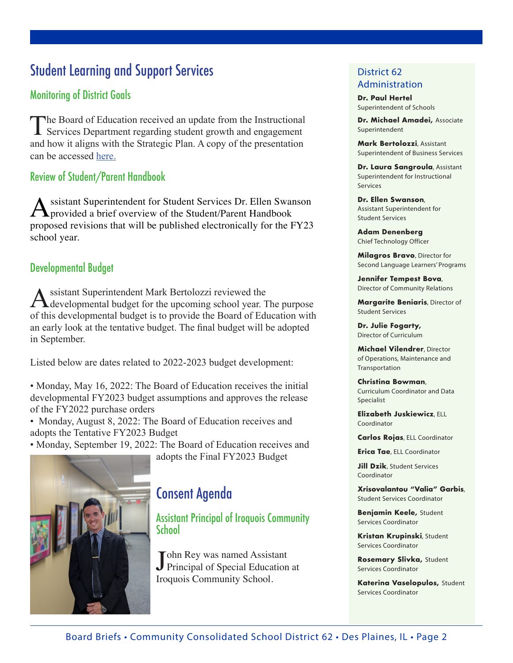# Student Learning and Support Services

## Monitoring of District Goals

The Board of Education received an update from the Instructional Services Department regarding student growth and engagement and how it aligns with the Strategic Plan. A copy of the presentation can be accessed [here.](https://go.boarddocs.com/il/d62/Board.nsf/files/CEARCJ6D58EA/$file/2022_0516%20Looking%20Forward%20Presentation.pdf)

## Review of Student/Parent Handbook

ssistant Superintendent for Student Services Dr. Ellen Swanson provided a brief overview of the Student/Parent Handbook proposed revisions that will be published electronically for the FY23 school year.

#### Developmental Budget

Assistant Superintendent Mark Bertolozzi reviewed the developmental budget for the upcoming school year. The purpose of this developmental budget is to provide the Board of Education with an early look at the tentative budget. The final budget will be adopted in September.

Listed below are dates related to 2022-2023 budget development:

• Monday, May 16, 2022: The Board of Education receives the initial developmental FY2023 budget assumptions and approves the release of the FY2022 purchase orders

• Monday, August 8, 2022: The Board of Education receives and adopts the Tentative FY2023 Budget

• Monday, September 19, 2022: The Board of Education receives and

adopts the Final FY2023 Budget



## Consent Agenda

Assistant Principal of Iroquois Community **School** 

John Rey was named Assistant<br>Principal of Special Education at Tohn Rey was named Assistant Iroquois Community School.

#### District 62 Administration

**Dr. Paul Hertel** Superintendent of Schools

**Dr. Michael Amadei,** Associate Superintendent

**Mark Bertolozzi**, Assistant Superintendent of Business Services

**Dr. Laura Sangroula**, Assistant Superintendent for Instructional Services

**Dr. Ellen Swanson**, Assistant Superintendent for Student Services

**Adam Denenberg** Chief Technology Officer

**Milagros Bravo**, Director for Second Language Learners' Programs

**Jennifer Tempest Bova**, Director of Community Relations

**Margarite Beniaris**, Director of Student Services

**Dr. Julie Fogarty,** Director of Curriculum

**Michael Vilendrer**, Director of Operations, Maintenance and Transportation

**Christina Bowman**, Curriculum Coordinator and Data Specialist

**Elizabeth Juskiewicz**, ELL Coordinator

**Carlos Rojas**, ELL Coordinator

**Erica Tae**, ELL Coordinator

**Jill Dzik**, Student Services Coordinator

**Xrisovalantou "Valia" Garbis**, Student Services Coordinator

**Benjamin Keele,** Student Services Coordinator

**Kristan Krupinski**, Student Services Coordinator

**Rosemary Slivka,** Student Services Coordinator

**Katerina Vaselopulos,** Student Services Coordinator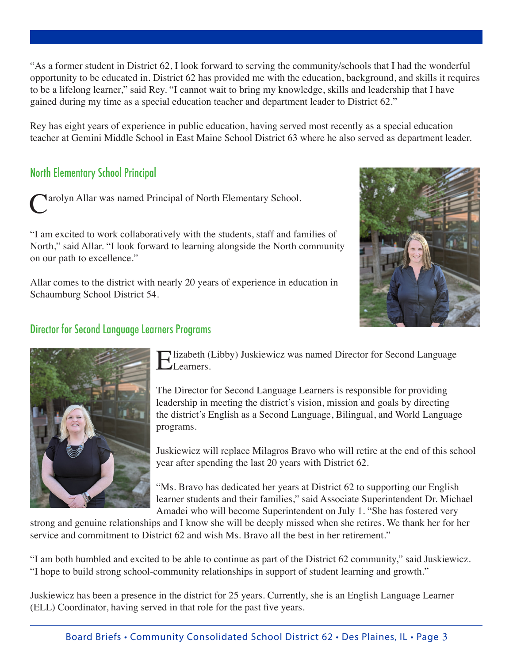"As a former student in District 62, I look forward to serving the community/schools that I had the wonderful opportunity to be educated in. District 62 has provided me with the education, background, and skills it requires to be a lifelong learner," said Rey. "I cannot wait to bring my knowledge, skills and leadership that I have gained during my time as a special education teacher and department leader to District 62."

Rey has eight years of experience in public education, having served most recently as a special education teacher at Gemini Middle School in East Maine School District 63 where he also served as department leader.

## North Elementary School Principal

**Narolyn Allar was named Principal of North Elementary School.** 

"I am excited to work collaboratively with the students, staff and families of North," said Allar. "I look forward to learning alongside the North community on our path to excellence."

Allar comes to the district with nearly 20 years of experience in education in Schaumburg School District 54.



#### Director for Second Language Learners Programs



Elizabeth (Libby) Juskiewicz was named Director for Second Language Learners.

The Director for Second Language Learners is responsible for providing leadership in meeting the district's vision, mission and goals by directing the district's English as a Second Language, Bilingual, and World Language programs.

Juskiewicz will replace Milagros Bravo who will retire at the end of this school year after spending the last 20 years with District 62.

"Ms. Bravo has dedicated her years at District 62 to supporting our English learner students and their families," said Associate Superintendent Dr. Michael Amadei who will become Superintendent on July 1. "She has fostered very

strong and genuine relationships and I know she will be deeply missed when she retires. We thank her for her service and commitment to District 62 and wish Ms. Bravo all the best in her retirement."

"I am both humbled and excited to be able to continue as part of the District 62 community," said Juskiewicz. "I hope to build strong school-community relationships in support of student learning and growth."

Juskiewicz has been a presence in the district for 25 years. Currently, she is an English Language Learner (ELL) Coordinator, having served in that role for the past five years.